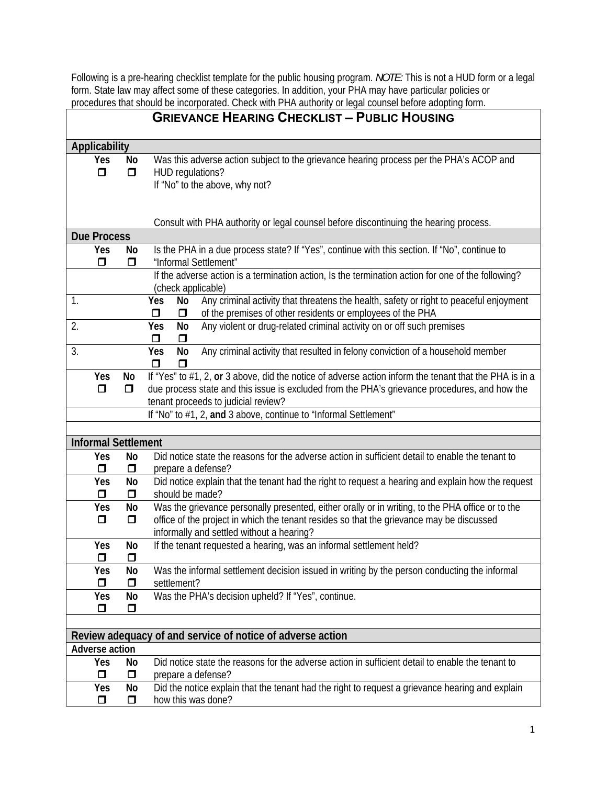Following is a pre-hearing checklist template for the public housing program. *NOTE:* This is not a HUD form or a legal form. State law may affect some of these categories. In addition, your PHA may have particular policies or procedures that should be incorporated. Check with PHA authority or legal counsel before adopting form.

|               |                                   |              | <b>GRIEVANCE HEARING CHECKLIST - PUBLIC HOUSING</b>                                                                                                                                                                                            |  |  |  |  |
|---------------|-----------------------------------|--------------|------------------------------------------------------------------------------------------------------------------------------------------------------------------------------------------------------------------------------------------------|--|--|--|--|
| Applicability |                                   |              |                                                                                                                                                                                                                                                |  |  |  |  |
|               | Yes<br>σ                          | No<br>$\Box$ | Was this adverse action subject to the grievance hearing process per the PHA's ACOP and<br>HUD regulations?<br>If "No" to the above, why not?                                                                                                  |  |  |  |  |
|               |                                   |              | Consult with PHA authority or legal counsel before discontinuing the hearing process.                                                                                                                                                          |  |  |  |  |
|               | <b>Due Process</b>                |              |                                                                                                                                                                                                                                                |  |  |  |  |
|               | Yes                               | No           | Is the PHA in a due process state? If "Yes", continue with this section. If "No", continue to                                                                                                                                                  |  |  |  |  |
|               | ◘                                 | Ο            | "Informal Settlement"                                                                                                                                                                                                                          |  |  |  |  |
|               |                                   |              | If the adverse action is a termination action, Is the termination action for one of the following?<br>(check applicable)                                                                                                                       |  |  |  |  |
| 1.            |                                   |              | Any criminal activity that threatens the health, safety or right to peaceful enjoyment<br>No<br>Yes<br>of the premises of other residents or employees of the PHA<br>σ<br>$\Box$                                                               |  |  |  |  |
| 2.            |                                   |              | Any violent or drug-related criminal activity on or off such premises<br>Yes<br>No<br>$\Box$<br>σ                                                                                                                                              |  |  |  |  |
| 3.            |                                   |              | No<br>Any criminal activity that resulted in felony conviction of a household member<br>Yes<br>$\mathbf \Pi$<br>α                                                                                                                              |  |  |  |  |
|               | Yes<br>$\Box$                     | No<br>Ο      | If "Yes" to #1, 2, or 3 above, did the notice of adverse action inform the tenant that the PHA is in a<br>due process state and this issue is excluded from the PHA's grievance procedures, and how the<br>tenant proceeds to judicial review? |  |  |  |  |
|               |                                   |              | If "No" to #1, 2, and 3 above, continue to "Informal Settlement"                                                                                                                                                                               |  |  |  |  |
|               |                                   |              |                                                                                                                                                                                                                                                |  |  |  |  |
|               | <b>Informal Settlement</b><br>Yes | No           | Did notice state the reasons for the adverse action in sufficient detail to enable the tenant to                                                                                                                                               |  |  |  |  |
|               | $\Box$                            | σ            | prepare a defense?                                                                                                                                                                                                                             |  |  |  |  |
|               | Yes                               | No           | Did notice explain that the tenant had the right to request a hearing and explain how the request                                                                                                                                              |  |  |  |  |
|               | σ                                 | σ            | should be made?                                                                                                                                                                                                                                |  |  |  |  |
|               | Yes<br>$\Box$                     | No<br>$\Box$ | Was the grievance personally presented, either orally or in writing, to the PHA office or to the<br>office of the project in which the tenant resides so that the grievance may be discussed<br>informally and settled without a hearing?      |  |  |  |  |
|               | Yes<br>◘                          | No<br>◘      | If the tenant requested a hearing, was an informal settlement held?                                                                                                                                                                            |  |  |  |  |
|               | Yes<br>σ                          | No<br>$\Box$ | Was the informal settlement decision issued in writing by the person conducting the informal<br>settlement?                                                                                                                                    |  |  |  |  |
|               | Yes                               | No           | Was the PHA's decision upheld? If "Yes", continue.                                                                                                                                                                                             |  |  |  |  |
|               | Ο                                 | ◘            |                                                                                                                                                                                                                                                |  |  |  |  |
|               |                                   |              |                                                                                                                                                                                                                                                |  |  |  |  |
|               | Adverse action                    |              | Review adequacy of and service of notice of adverse action                                                                                                                                                                                     |  |  |  |  |
|               | Yes<br>◘                          | No<br>Ο      | Did notice state the reasons for the adverse action in sufficient detail to enable the tenant to<br>prepare a defense?                                                                                                                         |  |  |  |  |
|               | Yes<br>◘                          | No<br>$\Box$ | Did the notice explain that the tenant had the right to request a grievance hearing and explain<br>how this was done?                                                                                                                          |  |  |  |  |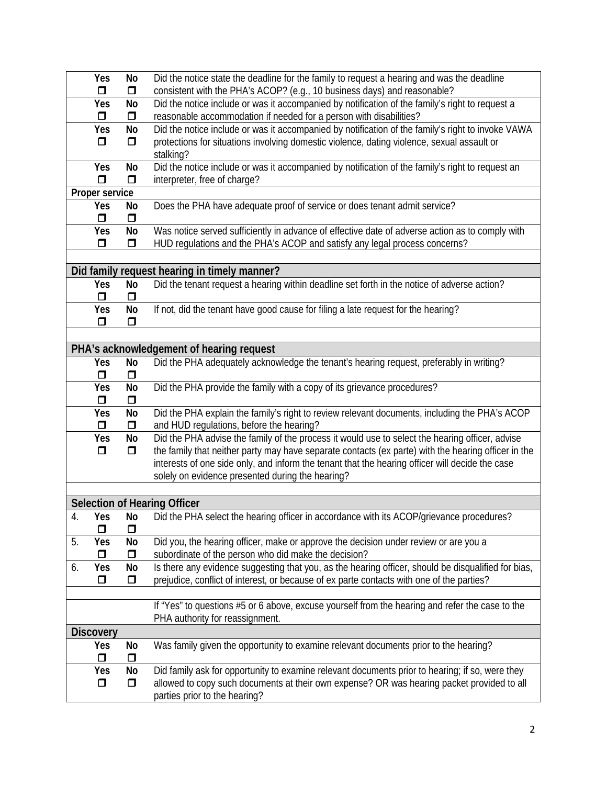|    | Yes<br>$\Box$    | No<br>σ   | Did the notice state the deadline for the family to request a hearing and was the deadline<br>consistent with the PHA's ACOP? (e.g., 10 business days) and reasonable? |
|----|------------------|-----------|------------------------------------------------------------------------------------------------------------------------------------------------------------------------|
|    | Yes              | No        | Did the notice include or was it accompanied by notification of the family's right to request a                                                                        |
|    | $\Box$           | $\Box$    | reasonable accommodation if needed for a person with disabilities?                                                                                                     |
|    | Yes              | No        | Did the notice include or was it accompanied by notification of the family's right to invoke VAWA                                                                      |
|    | σ                | Ο         | protections for situations involving domestic violence, dating violence, sexual assault or                                                                             |
|    |                  |           | stalking?                                                                                                                                                              |
|    | Yes              | No        | Did the notice include or was it accompanied by notification of the family's right to request an                                                                       |
|    | $\Box$           | $\Box$    | interpreter, free of charge?                                                                                                                                           |
|    | Proper service   |           |                                                                                                                                                                        |
|    | Yes              | No        | Does the PHA have adequate proof of service or does tenant admit service?                                                                                              |
|    | $\Box$           | $\Box$    |                                                                                                                                                                        |
|    | Yes              | <b>No</b> | Was notice served sufficiently in advance of effective date of adverse action as to comply with                                                                        |
|    | $\Box$           | σ         | HUD regulations and the PHA's ACOP and satisfy any legal process concerns?                                                                                             |
|    |                  |           |                                                                                                                                                                        |
|    |                  |           | Did family request hearing in timely manner?                                                                                                                           |
|    | Yes              | No        | Did the tenant request a hearing within deadline set forth in the notice of adverse action?                                                                            |
|    | $\Box$           | σ         |                                                                                                                                                                        |
|    | Yes              | No        | If not, did the tenant have good cause for filing a late request for the hearing?                                                                                      |
|    | $\Box$           | $\Box$    |                                                                                                                                                                        |
|    |                  |           |                                                                                                                                                                        |
|    |                  |           |                                                                                                                                                                        |
|    |                  |           | PHA's acknowledgement of hearing request                                                                                                                               |
|    | Yes              | No        | Did the PHA adequately acknowledge the tenant's hearing request, preferably in writing?                                                                                |
|    | $\Box$           | $\Box$    |                                                                                                                                                                        |
|    | <b>Yes</b>       | No        | Did the PHA provide the family with a copy of its grievance procedures?                                                                                                |
|    | $\Box$           | $\Box$    |                                                                                                                                                                        |
|    | Yes              | No        | Did the PHA explain the family's right to review relevant documents, including the PHA's ACOP                                                                          |
|    | $\Box$           | ο         | and HUD regulations, before the hearing?                                                                                                                               |
|    | Yes              | No        | Did the PHA advise the family of the process it would use to select the hearing officer, advise                                                                        |
|    | $\Box$           | $\Box$    | the family that neither party may have separate contacts (ex parte) with the hearing officer in the                                                                    |
|    |                  |           | interests of one side only, and inform the tenant that the hearing officer will decide the case                                                                        |
|    |                  |           | solely on evidence presented during the hearing?                                                                                                                       |
|    |                  |           |                                                                                                                                                                        |
|    |                  |           | <b>Selection of Hearing Officer</b>                                                                                                                                    |
| 4. | Yes              | No        | Did the PHA select the hearing officer in accordance with its ACOP/grievance procedures?                                                                               |
|    | α                | σ         |                                                                                                                                                                        |
| 5. | Yes              | No        | Did you, the hearing officer, make or approve the decision under review or are you a                                                                                   |
|    | Ο                | Ο         | subordinate of the person who did make the decision?                                                                                                                   |
| 6. | Yes              | No        | Is there any evidence suggesting that you, as the hearing officer, should be disqualified for bias,                                                                    |
|    | $\Box$           | $\Box$    | prejudice, conflict of interest, or because of ex parte contacts with one of the parties?                                                                              |
|    |                  |           |                                                                                                                                                                        |
|    |                  |           | If "Yes" to questions #5 or 6 above, excuse yourself from the hearing and refer the case to the                                                                        |
|    |                  |           | PHA authority for reassignment.                                                                                                                                        |
|    | <b>Discovery</b> |           |                                                                                                                                                                        |
|    | Yes              | No        | Was family given the opportunity to examine relevant documents prior to the hearing?                                                                                   |
|    | ◘                | Ο         |                                                                                                                                                                        |
|    | Yes              | No        | Did family ask for opportunity to examine relevant documents prior to hearing; if so, were they                                                                        |
|    | $\Box$           | $\Box$    | allowed to copy such documents at their own expense? OR was hearing packet provided to all                                                                             |
|    |                  |           | parties prior to the hearing?                                                                                                                                          |